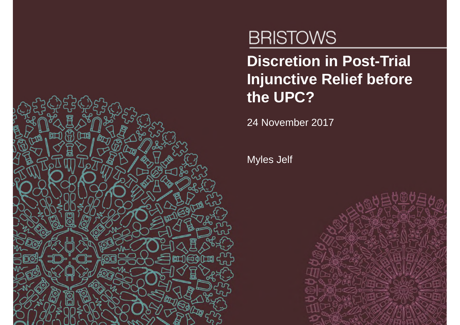

# **BRISTOWS**

**Discretion in Post-Trial Injunctive Relief before the UPC?**

24 November 2017

Myles Jelf

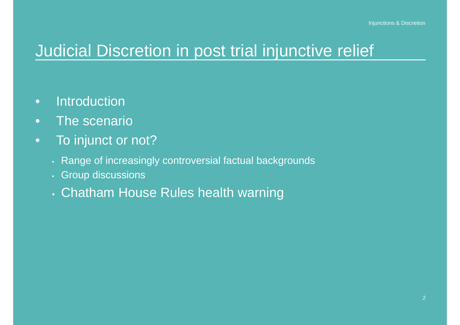#### Judicial Discretion in post trial injunctive relief

- Introduction
- The scenario
- To injunct or not?
	- Range of increasingly controversial factual backgrounds
	- Group discussions
	- Chatham House Rules health warning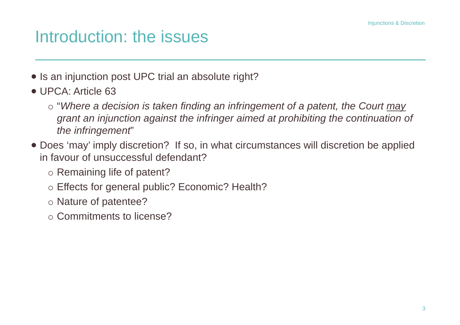## Introduction: the issues

- Is an injunction post UPC trial an absolute right?
- UPCA: Article 63
	- "*Where a decision is taken finding an infringement of a patent, the Court may grant an injunction against the infringer aimed at prohibiting the continuation of the infringement*"
- Does 'may' imply discretion? If so, in what circumstances will discretion be applied in favour of unsuccessful defendant?
	- o Remaining life of patent?
	- Effects for general public? Economic? Health?
	- o Nature of patentee?
	- Commitments to license?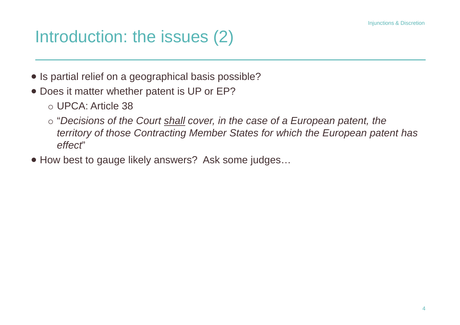## Introduction: the issues (2)

- Is partial relief on a geographical basis possible?
- Does it matter whether patent is UP or EP?
	- UPCA: Article 38
	- "*Decisions of the Court shall cover, in the case of a European patent, the territory of those Contracting Member States for which the European patent has effect*"
- How best to gauge likely answers? Ask some judges…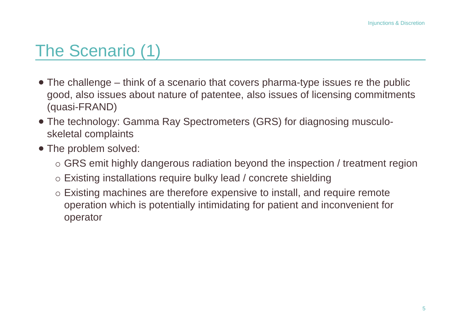## The Scenario (1)

- The challenge think of a scenario that covers pharma-type issues re the public good, also issues about nature of patentee, also issues of licensing commitments (quasi-FRAND)
- The technology: Gamma Ray Spectrometers (GRS) for diagnosing musculoskeletal complaints
- The problem solved:
	- $\circ$  GRS emit highly dangerous radiation beyond the inspection / treatment region
	- Existing installations require bulky lead / concrete shielding
	- Existing machines are therefore expensive to install, and require remote operation which is potentially intimidating for patient and inconvenient for operator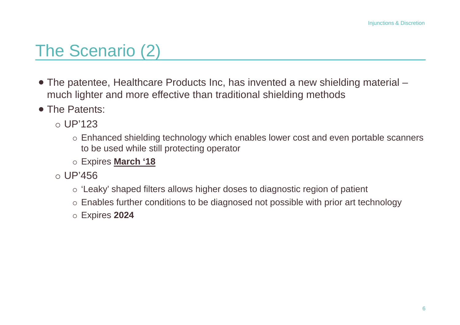## The Scenario (2)

- The patentee, Healthcare Products Inc, has invented a new shielding material much lighter and more effective than traditional shielding methods
- The Patents:
	- $\circ$  UP'123
		- Enhanced shielding technology which enables lower cost and even portable scanners to be used while still protecting operator
		- Expires **March '18**
	- $\circ$  UP'456
		- 'Leaky' shaped filters allows higher doses to diagnostic region of patient
		- Enables further conditions to be diagnosed not possible with prior art technology
		- Expires **2024**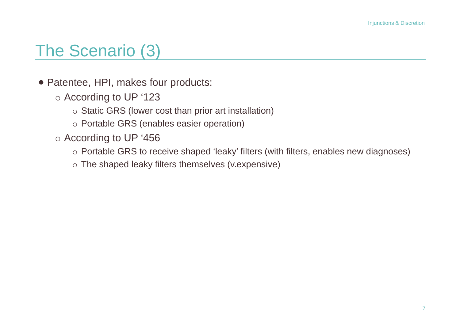#### The Scenario (3)

- Patentee, HPI, makes four products:
	- According to UP '123
		- o Static GRS (lower cost than prior art installation)
		- Portable GRS (enables easier operation)
	- According to UP '456
		- Portable GRS to receive shaped 'leaky' filters (with filters, enables new diagnoses)
		- The shaped leaky filters themselves (v.expensive)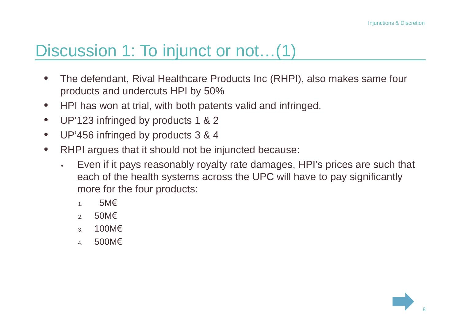### Discussion 1: To injunct or not...(1)

- The defendant, Rival Healthcare Products Inc (RHPI), also makes same four products and undercuts HPI by 50%
- HPI has won at trial, with both patents valid and infringed.
- UP'123 infringed by products 1 & 2
- UP'456 infringed by products 3 & 4
- RHPI argues that it should not be injuncted because:
	- Even if it pays reasonably royalty rate damages, HPI's prices are such that each of the health systems across the UPC will have to pay significantly more for the four products:
		- 1. 5M€
		- 2. 50M€
		- 3. 100M€
		- 4. 500M€

8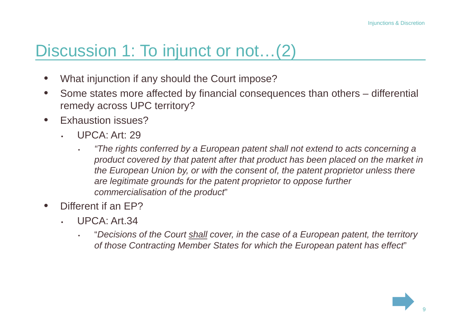### Discussion 1: To injunct or not…(2)

- What injunction if any should the Court impose?
- Some states more affected by financial consequences than others differential remedy across UPC territory?
- **Exhaustion issues?** 
	- UPCA: Art: 29
		- *"The rights conferred by a European patent shall not extend to acts concerning a product covered by that patent after that product has been placed on the market in the European Union by, or with the consent of, the patent proprietor unless there are legitimate grounds for the patent proprietor to oppose further commercialisation of the product*"
- Different if an EP?
	- UPCA: Art.34
		- "*Decisions of the Court shall cover, in the case of a European patent, the territory of those Contracting Member States for which the European patent has effect*"

9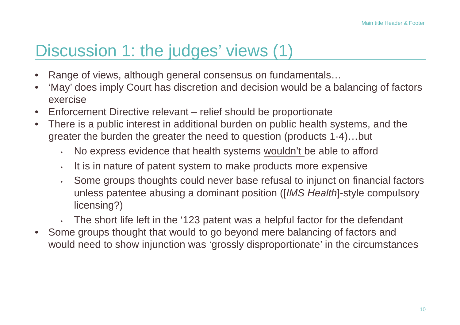## Discussion 1: the judges' views (1)

- Range of views, although general consensus on fundamentals...
- 'May' does imply Court has discretion and decision would be a balancing of factors exercise
- Enforcement Directive relevant relief should be proportionate
- There is a public interest in additional burden on public health systems, and the greater the burden the greater the need to question (products 1-4)…but
	- No express evidence that health systems wouldn't be able to afford
	- It is in nature of patent system to make products more expensive
	- Some groups thoughts could never base refusal to injunct on financial factors unless patentee abusing a dominant position ([*IMS Health*]-style compulsory licensing?)
	- The short life left in the '123 patent was a helpful factor for the defendant
- Some groups thought that would to go beyond mere balancing of factors and would need to show injunction was 'grossly disproportionate' in the circumstances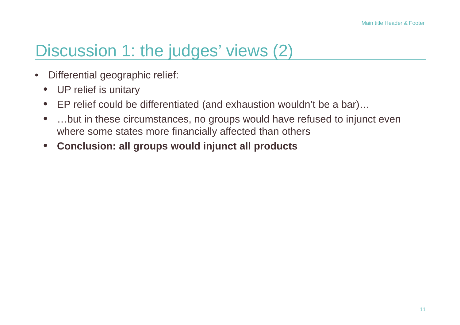### Discussion 1: the judges' views (2)

- Differential geographic relief:
	- UP relief is unitary
	- EP relief could be differentiated (and exhaustion wouldn't be a bar)…
	- ...but in these circumstances, no groups would have refused to injunct even where some states more financially affected than others
	- **Conclusion: all groups would injunct all products**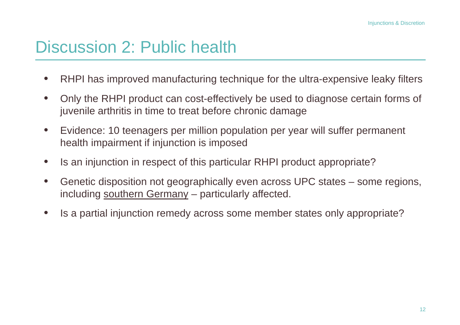#### Discussion 2: Public health

- RHPI has improved manufacturing technique for the ultra-expensive leaky filters
- Only the RHPI product can cost-effectively be used to diagnose certain forms of juvenile arthritis in time to treat before chronic damage
- Evidence: 10 teenagers per million population per year will suffer permanent health impairment if injunction is imposed
- Is an injunction in respect of this particular RHPI product appropriate?
- Genetic disposition not geographically even across UPC states some regions, including southern Germany – particularly affected.
- Is a partial injunction remedy across some member states only appropriate?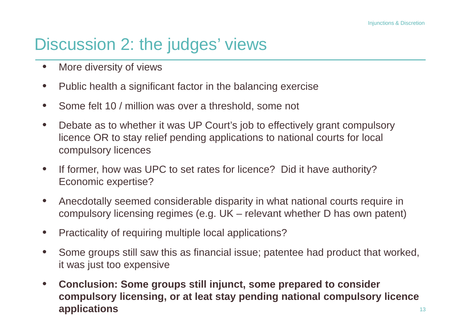## Discussion 2: the judges' views

- More diversity of views
- Public health a significant factor in the balancing exercise
- Some felt 10 / million was over a threshold, some not
- Debate as to whether it was UP Court's job to effectively grant compulsory licence OR to stay relief pending applications to national courts for local compulsory licences
- If former, how was UPC to set rates for licence? Did it have authority? Economic expertise?
- Anecdotally seemed considerable disparity in what national courts require in compulsory licensing regimes (e.g. UK – relevant whether D has own patent)
- Practicality of requiring multiple local applications?
- Some groups still saw this as financial issue; patentee had product that worked, it was just too expensive
- **Conclusion: Some groups still injunct, some prepared to consider compulsory licensing, or at leat stay pending national compulsory licence applications**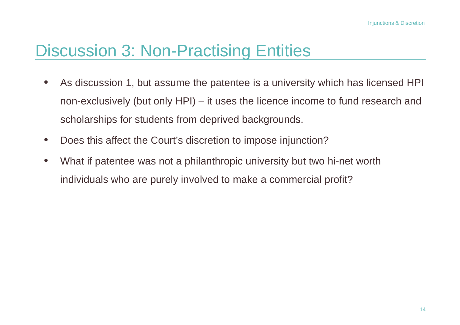## Discussion 3: Non-Practising Entities

- As discussion 1, but assume the patentee is a university which has licensed HPI non-exclusively (but only HPI) – it uses the licence income to fund research and scholarships for students from deprived backgrounds.
- Does this affect the Court's discretion to impose injunction?
- What if patentee was not a philanthropic university but two hi-net worth individuals who are purely involved to make a commercial profit?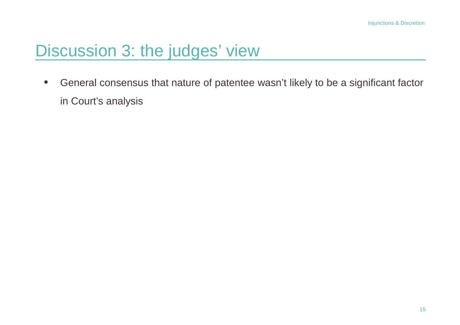## Discussion 3: the judges' view

• General consensus that nature of patentee wasn't likely to be a significant factor in Court's analysis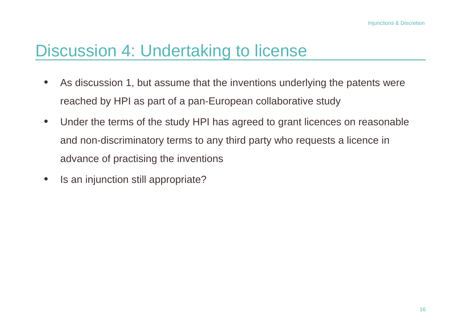### Discussion 4: Undertaking to license

- As discussion 1, but assume that the inventions underlying the patents were reached by HPI as part of a pan-European collaborative study
- Under the terms of the study HPI has agreed to grant licences on reasonable and non-discriminatory terms to any third party who requests a licence in advance of practising the inventions
- Is an injunction still appropriate?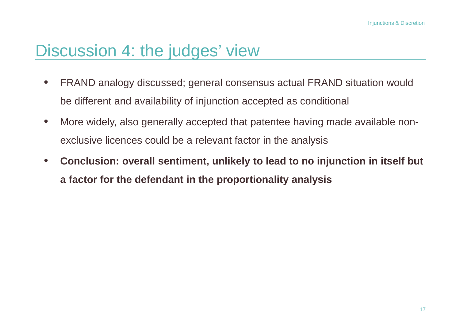#### Discussion 4: the judges' view

- FRAND analogy discussed; general consensus actual FRAND situation would be different and availability of injunction accepted as conditional
- More widely, also generally accepted that patentee having made available nonexclusive licences could be a relevant factor in the analysis
- **Conclusion: overall sentiment, unlikely to lead to no injunction in itself but a factor for the defendant in the proportionality analysis**